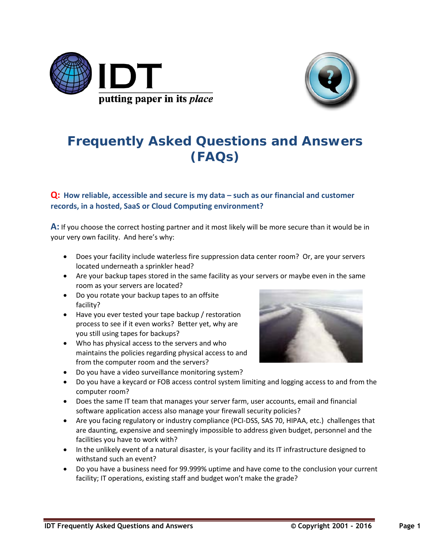



## **Frequently Asked Questions and Answers (FAQs)**

## **Q: How reliable, accessible and secure is my data – such as our financial and customer records, in a hosted, SaaS or Cloud Computing environment?**

**A:** If you choose the correct hosting partner and it most likely will be more secure than it would be in your very own facility. And here's why:

- Does your facility include waterless fire suppression data center room? Or, are your servers located underneath a sprinkler head?
- Are your backup tapes stored in the same facility as your servers or maybe even in the same room as your servers are located?
- Do you rotate your backup tapes to an offsite facility?
- Have you ever tested your tape backup / restoration process to see if it even works? Better yet, why are you still using tapes for backups?
- Who has physical access to the servers and who maintains the policies regarding physical access to and from the computer room and the servers?
- Do you have a video surveillance monitoring system?
- Do you have a keycard or FOB access control system limiting and logging access to and from the computer room?
- Does the same IT team that manages your server farm, user accounts, email and financial software application access also manage your firewall security policies?
- Are you facing regulatory or industry compliance (PCI-DSS, SAS 70, HIPAA, etc.) challenges that are daunting, expensive and seemingly impossible to address given budget, personnel and the facilities you have to work with?
- In the unlikely event of a natural disaster, is your facility and its IT infrastructure designed to withstand such an event?
- Do you have a business need for 99.999% uptime and have come to the conclusion your current facility; IT operations, existing staff and budget won't make the grade?

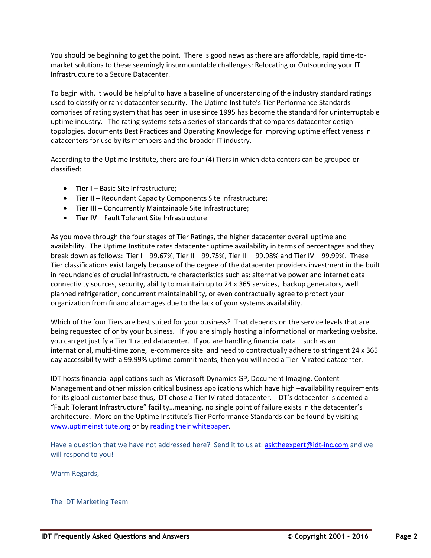You should be beginning to get the point. There is good news as there are affordable, rapid time-tomarket solutions to these seemingly insurmountable challenges: Relocating or Outsourcing your IT Infrastructure to a Secure Datacenter.

To begin with, it would be helpful to have a baseline of understanding of the industry standard ratings used to classify or rank datacenter security. The Uptime Institute's Tier Performance Standards comprises of rating system that has been in use since 1995 has become the standard for uninterruptable uptime industry. The rating systems sets a series of standards that compares datacenter design topologies, documents Best Practices and Operating Knowledge for improving uptime effectiveness in datacenters for use by its members and the broader IT industry.

According to the Uptime Institute, there are four (4) Tiers in which data centers can be grouped or classified:

- **Tier I** Basic Site Infrastructure;
- **Tier II** Redundant Capacity Components Site Infrastructure;
- **Tier III** Concurrently Maintainable Site Infrastructure;
- **Tier IV** Fault Tolerant Site Infrastructure

As you move through the four stages of Tier Ratings, the higher datacenter overall uptime and availability. The Uptime Institute rates datacenter uptime availability in terms of percentages and they break down as follows: Tier I – 99.67%, Tier II – 99.75%, Tier III – 99.98% and Tier IV – 99.99%. These Tier classifications exist largely because of the degree of the datacenter providers investment in the built in redundancies of crucial infrastructure characteristics such as: alternative power and internet data connectivity sources, security, ability to maintain up to 24 x 365 services, backup generators, well planned refrigeration, concurrent maintainability, or even contractually agree to protect your organization from financial damages due to the lack of your systems availability.

Which of the four Tiers are best suited for your business? That depends on the service levels that are being requested of or by your business. If you are simply hosting a informational or marketing website, you can get justify a Tier 1 rated datacenter. If you are handling financial data – such as an international, multi-time zone, e-commerce site and need to contractually adhere to stringent 24 x 365 day accessibility with a 99.99% uptime commitments, then you will need a Tier IV rated datacenter.

IDT hosts financial applications such as Microsoft Dynamics GP, Document Imaging, Content Management and other mission critical business applications which have high –availability requirements for its global customer base thus, IDT chose a Tier IV rated datacenter. IDT's datacenter is deemed a "Fault Tolerant Infrastructure" facility…meaning, no single point of failure exists in the datacenter's architecture. More on the Uptime Institute's Tier Performance Standards can be found by visiting [www.uptimeinstitute.org](http://www.uptimeinstitute.org/) or by [reading their whitepaper.](http://www.idtconsulting.com/pdf/uptimeratings.pdf)

Have a question that we have not addressed here? Send it to us at: [asktheexpert@idt-inc.com](mailto:asktheexpert@idt-inc.com) and we will respond to you!

Warm Regards,

The IDT Marketing Team